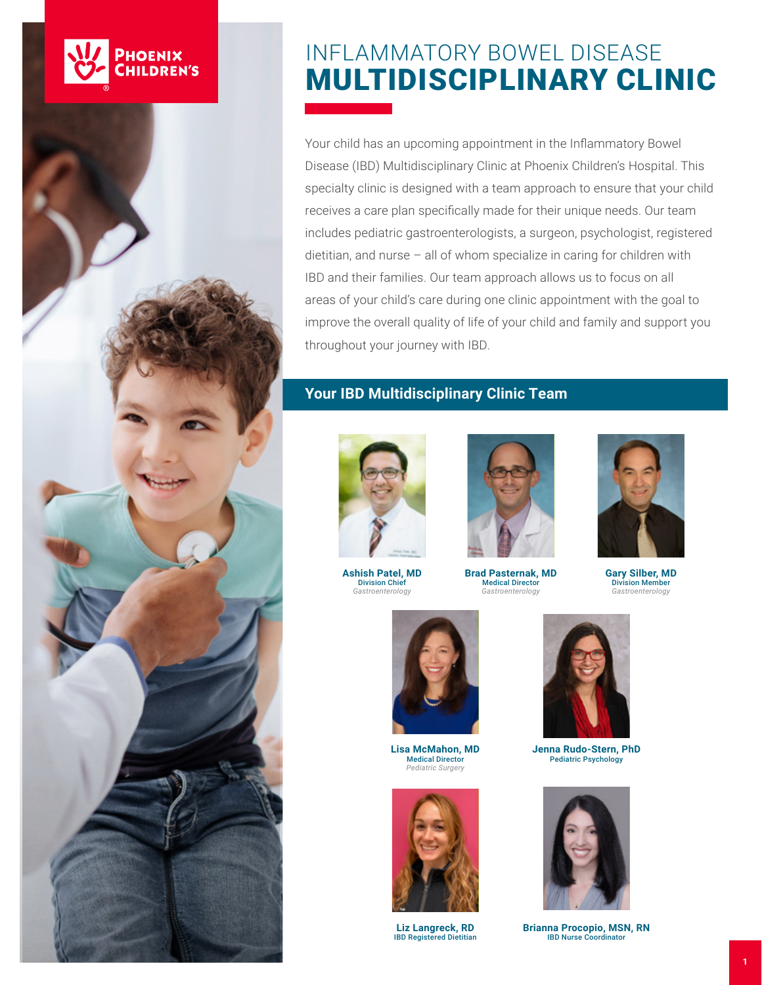

# INFLAMMATORY BOWEL DISEASE MULTIDISCIPLINARY CLINIC

Your child has an upcoming appointment in the Inflammatory Bowel Disease (IBD) Multidisciplinary Clinic at Phoenix Children's Hospital. This specialty clinic is designed with a team approach to ensure that your child receives a care plan specifically made for their unique needs. Our team includes pediatric gastroenterologists, a surgeon, psychologist, registered dietitian, and nurse – all of whom specialize in caring for children with IBD and their families. Our team approach allows us to focus on all areas of your child's care during one clinic appointment with the goal to improve the overall quality of life of your child and family and support you throughout your journey with IBD.

# **Your IBD Multidisciplinary Clinic Team**



**Ashish Patel, MD** Division Chief *Gastroenterology*



**Brad Pasternak, MD Medical Director** *Gastroenterology*



Division Member *Gastroenterology*



**Lisa McMahon, MD** Medical Director *Pediatric Surgery*



**Liz Langreck, RD** IBD Registered Dietitian



**Jenna Rudo-Stern, PhD** Pediatric Psychology



**Brianna Procopio, MSN, RN** IBD Nurse Coordinator

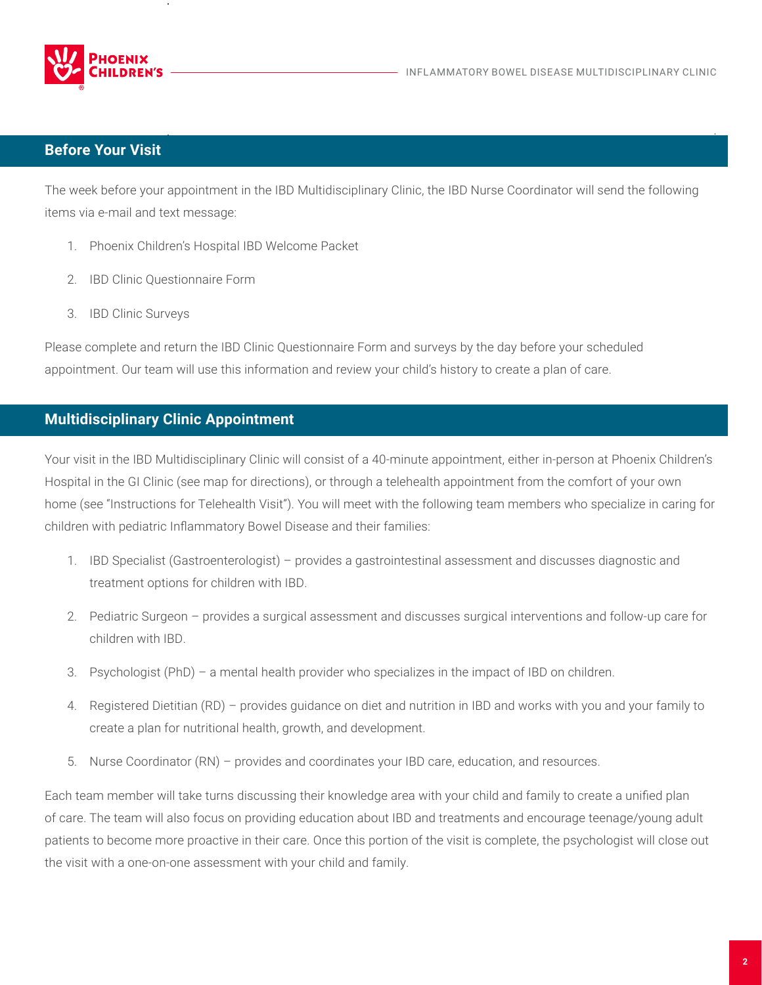

## **Before Your Visit**

The week before your appointment in the IBD Multidisciplinary Clinic, the IBD Nurse Coordinator will send the following items via e-mail and text message:

- 1. Phoenix Children's Hospital IBD Welcome Packet
- 2. IBD Clinic Questionnaire Form
- 3. IBD Clinic Surveys

Please complete and return the IBD Clinic Questionnaire Form and surveys by the day before your scheduled appointment. Our team will use this information and review your child's history to create a plan of care.

## **Multidisciplinary Clinic Appointment**

Your visit in the IBD Multidisciplinary Clinic will consist of a 40-minute appointment, either in-person at Phoenix Children's Hospital in the GI Clinic (see map for directions), or through a telehealth appointment from the comfort of your own home (see "Instructions for Telehealth Visit"). You will meet with the following team members who specialize in caring for children with pediatric Inflammatory Bowel Disease and their families:

- 1. IBD Specialist (Gastroenterologist) provides a gastrointestinal assessment and discusses diagnostic and treatment options for children with IBD.
- 2. Pediatric Surgeon provides a surgical assessment and discusses surgical interventions and follow-up care for children with IBD.
- 3. Psychologist (PhD) a mental health provider who specializes in the impact of IBD on children.
- 4. Registered Dietitian (RD) provides guidance on diet and nutrition in IBD and works with you and your family to create a plan for nutritional health, growth, and development.
- 5. Nurse Coordinator (RN) provides and coordinates your IBD care, education, and resources.

Each team member will take turns discussing their knowledge area with your child and family to create a unified plan of care. The team will also focus on providing education about IBD and treatments and encourage teenage/young adult patients to become more proactive in their care. Once this portion of the visit is complete, the psychologist will close out the visit with a one-on-one assessment with your child and family.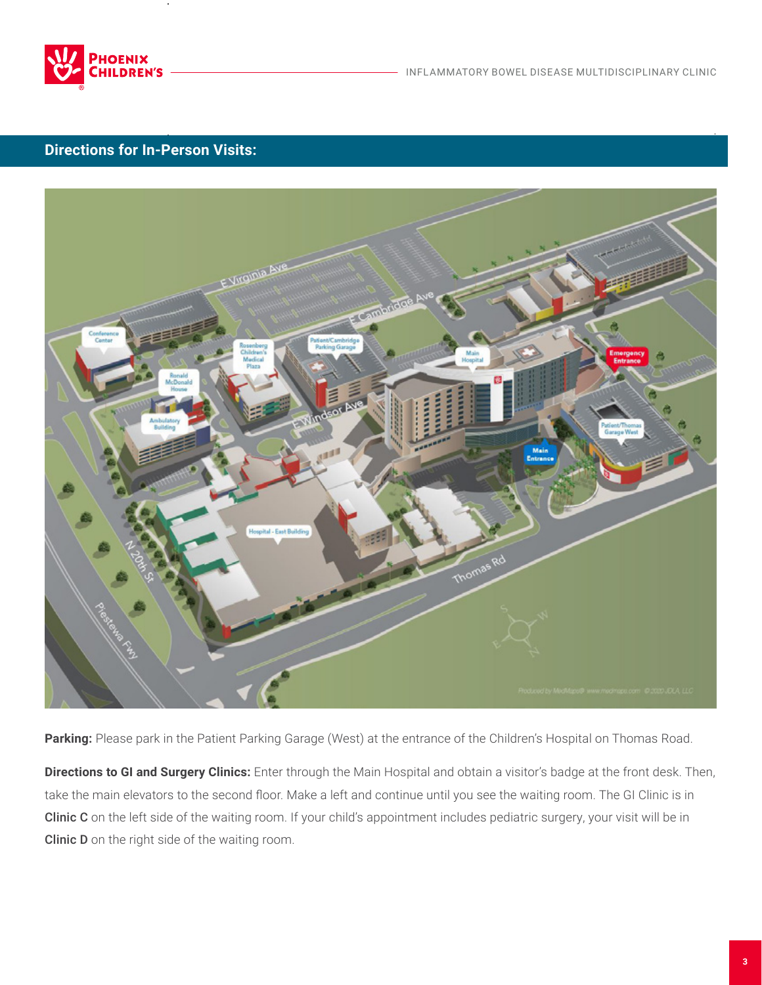

# **Directions for In-Person Visits:**



Parking: Please park in the Patient Parking Garage (West) at the entrance of the Children's Hospital on Thomas Road.

**Directions to GI and Surgery Clinics:** Enter through the Main Hospital and obtain a visitor's badge at the front desk. Then, take the main elevators to the second floor. Make a left and continue until you see the waiting room. The GI Clinic is in Clinic C on the left side of the waiting room. If your child's appointment includes pediatric surgery, your visit will be in Clinic D on the right side of the waiting room.